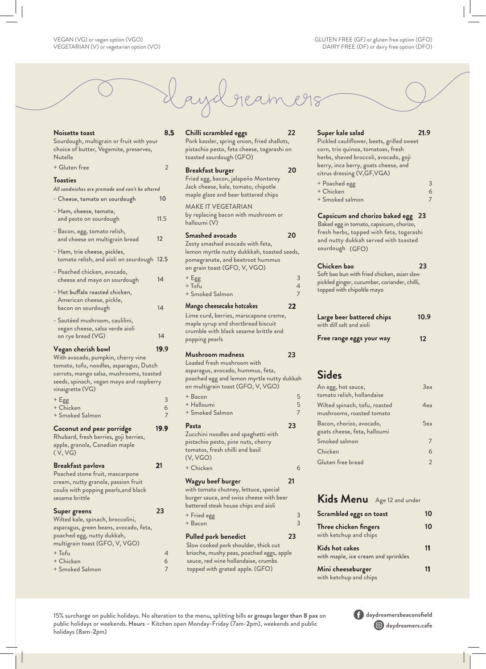

## **Noisette toast 8.5** Sourdough, multigrain or fruit with your choice of butter, Vegemite, preserves, Nutella + Gluten free 2 **Toasties** All sandwiches are premade and can't be altered - Cheese, tomato on sourdough 10 - Ham, cheese, tomato, and pesto on sourdough 11.5 - Bacon, egg, tomato relish, and cheese on multigrain bread **12** - Ham, trio cheese, pickles, tomato relish, and aioli on sourdough 1**2.5** - Poached chicken, avocado, cheese and mayo on sourdough **14** - Hot buffalo roasted chicken, American cheese, pickle, bacon on sourdough 1**4** - Sautéed mushroom, caulilini, vegan cheese, salsa verde aioli on rye bread (VG) **14 Vegan cherish bowl 19.9**  With avocado, pumpkin, cherry vine tomato, tofu, noodles, asparagus, Dutch carrots, mango salsa, mushrooms, toasted seeds, spinach, vegan mayo and raspberry vinaigrette (VG)  $+$  Egg  $-$  3 + Chicken 6 + Smoked Salmon 7  **Coconut and pear porridge** 19.9 Rhubard, fresh berries, goji berries, apple, granola, Canadian maple ( V, VG) **Breakfast pavlova 21** Poached stone fruit, mascarpone cream, nutty granola, passion fruit coulis with popping pearls,and black sesame brittle **Super greens 23** Wilted kale, spinach, broccolini, asparagus, green beans, avocado, feta, poached egg, nutty dukkah, multigrain toast (GFO, V, VGO) + Tofu 4 + Chicken 6

+ Smoked Salmon 7

**Chilli scrambled eggs 22** Pork kassler, spring onion, fried shallots, pistachio pesto, feta cheese, togarashi on toasted sourdough (GFO) **Breakfast burger 20** Fried egg, bacon, jalapeño Monterey Jack cheese, kale, tomato, chipotle

maple glaze and beer battered chips MAKE IT VEGETARIAN by replacing bacon with mushroom or halloumi (V)

## **Smashed avocado 20**  Zesty smashed avocado with feta, lemon myrtle nutty dukkkah, toasted seeds, pomegranate, and beetroot hummus on grain toast (GFO, V, VGO)  $+$  Egg  $-$  3<br> $+$  Tofu

 $+$  Tofu + Smoked Salmon 7

## **Mango cheesecake hotcakes 22**

Lime curd, berries, marscapone creme, maple syrup and shortbread biscuit crumble with black sesame brittle and popping pearls

## **Mushroom madness** 23

## Loaded fresh mushroom with asparagus, avocado, hummus, feta, poached egg and lemon myrtle nutty dukkah on multigrain toast (GFO, V, VGO) + Bacon 5 + Halloumi 5 + Smoked Salmon 7 **Pasta 23** Zucchini noodles and spaghetti with pistachio pesto, pine nuts, cherry tomatos, fresh chilli and basil (V, VGO) + Chicken 6

## **Wagyu beef burger 21**

with tomato chutney, lettuce, special burger sauce, and swiss cheese with beer battered steak house chips and aioli + Fried egg 3

+ Bacon 3

## **Pulled pork benedict**

Slow cooked pork shoulder, thick cut brioche, mushy peas, poached eggs, apple sauce, red wine hollandaise, crumbs topped with grated apple. (GFO)

**23**

## **Super kale salad 21.9**

Pickled cauliflower, beets, grilled sweet corn, trio quinoa, tomatoes, fresh herbs, shaved broccoli, avocado, goji berry, inca berry, goats cheese, and citrus dressing (V,GF,VGA)

| + Poached egg   |  |
|-----------------|--|
| + Chicken       |  |
| + Smoked salmon |  |

## **Capsicum and chorizo baked egg 23**

Baked egg in tomato, capsicum, chorizo, fresh herbs, topped with feta, togarashi and nutty dukkah served with toasted sourdough (GFO)

## **Chicken bao** Soft bao bun with fried chicken, asian slaw **23**

pickled ginger, cucumber, coriander, chilli, topped with chipoltle mayo

| Large beer battered chips | 10.9 |
|---------------------------|------|
| with dill salt and aioli  |      |
|                           |      |

**12 Free range eggs your way** 

# **Sides**

| An egg, hot sauce,<br>tomato relish, hollandaise           | 3e <sub>a</sub> |
|------------------------------------------------------------|-----------------|
| Wilted spinach, tofu, roasted<br>mushrooms, roasted tomato | 4e <sub>a</sub> |
| Bacon, chorizo, avocado,<br>goats cheese, feta, halloumi   | 5e <sub>a</sub> |
| Smoked salmon                                              |                 |
| Chicken                                                    | 6               |
| Gluten free bread                                          |                 |

## **Kids Menu** Age 12 and under

| Scrambled eggs on toast                                      |    |
|--------------------------------------------------------------|----|
| Three chicken fingers<br>with ketchup and chips              | 10 |
| <b>Kids hot cakes</b><br>with maple, ice cream and sprinkles | 11 |
| Mini cheeseburger<br>with ketchup and chips                  | 11 |

15% surcharge on public holidays. No alteration to the menu**,** splitting bills **or groups larger than 8 pax** on public holidays or weekends. **Hours –** Kitchen open Monday-Friday (7am-**2**pm), weekends and public holidays (8am-**2**pm)